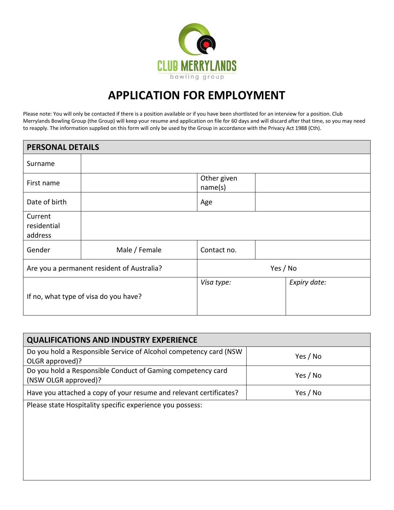

## **APPLICATION FOR EMPLOYMENT**

Please note: You will only be contacted if there is a position available or if you have been shortlisted for an interview for a position. Club Merrylands Bowling Group (the Group) will keep your resume and application on file for 60 days and will discard after that time, so you may need to reapply. The information supplied on this form will only be used by the Group in accordance with the Privacy Act 1988 (Cth).

| <b>PERSONAL DETAILS</b>                    |               |                        |              |
|--------------------------------------------|---------------|------------------------|--------------|
| Surname                                    |               |                        |              |
| First name                                 |               | Other given<br>name(s) |              |
| Date of birth                              |               | Age                    |              |
| Current<br>residential<br>address          |               |                        |              |
| Gender                                     | Male / Female | Contact no.            |              |
| Are you a permanent resident of Australia? |               | Yes / No               |              |
| If no, what type of visa do you have?      |               | Visa type:             | Expiry date: |

| <b>QUALIFICATIONS AND INDUSTRY EXPERIENCE</b>                                         |          |
|---------------------------------------------------------------------------------------|----------|
| Do you hold a Responsible Service of Alcohol competency card (NSW)<br>OLGR approved)? | Yes / No |
| Do you hold a Responsible Conduct of Gaming competency card<br>(NSW OLGR approved)?   | Yes / No |
| Have you attached a copy of your resume and relevant certificates?                    | Yes / No |
| Dlages state Usenitality specific ovneriones vay persons                              |          |

Please state Hospitality specific experience you possess: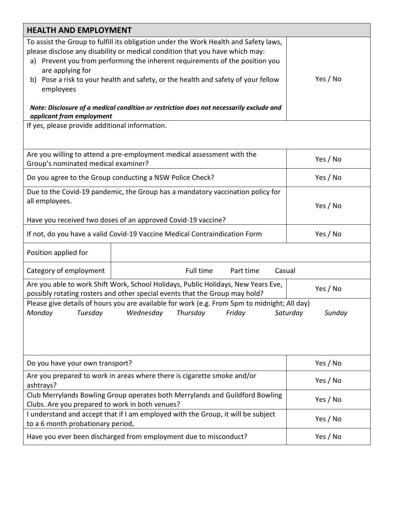| <b>HEALTH AND EMPLOYMENT</b>                                                                                                                                                                                                                                                                                                                                                                                                                                                                       |                                                                            |          |  |  |
|----------------------------------------------------------------------------------------------------------------------------------------------------------------------------------------------------------------------------------------------------------------------------------------------------------------------------------------------------------------------------------------------------------------------------------------------------------------------------------------------------|----------------------------------------------------------------------------|----------|--|--|
| To assist the Group to fulfill its obligation under the Work Health and Safety laws,<br>please disclose any disability or medical condition that you have which may:<br>a) Prevent you from performing the inherent requirements of the position you<br>are applying for<br>b) Pose a risk to your health and safety, or the health and safety of your fellow<br>employees<br>Note: Disclosure of a medical condition or restriction does not necessarily exclude and<br>applicant from employment | Yes / No                                                                   |          |  |  |
| If yes, please provide additional information.                                                                                                                                                                                                                                                                                                                                                                                                                                                     |                                                                            |          |  |  |
| Are you willing to attend a pre-employment medical assessment with the<br>Group's nominated medical examiner?                                                                                                                                                                                                                                                                                                                                                                                      | Yes / No                                                                   |          |  |  |
| Do you agree to the Group conducting a NSW Police Check?                                                                                                                                                                                                                                                                                                                                                                                                                                           | Yes / No                                                                   |          |  |  |
| Due to the Covid-19 pandemic, the Group has a mandatory vaccination policy for<br>all employees.                                                                                                                                                                                                                                                                                                                                                                                                   | Yes / No                                                                   |          |  |  |
|                                                                                                                                                                                                                                                                                                                                                                                                                                                                                                    | Have you received two doses of an approved Covid-19 vaccine?               |          |  |  |
|                                                                                                                                                                                                                                                                                                                                                                                                                                                                                                    | If not, do you have a valid Covid-19 Vaccine Medical Contraindication Form | Yes / No |  |  |
| Position applied for                                                                                                                                                                                                                                                                                                                                                                                                                                                                               |                                                                            |          |  |  |
| Category of employment                                                                                                                                                                                                                                                                                                                                                                                                                                                                             | Full time<br>Casual<br>Part time                                           |          |  |  |
| Are you able to work Shift Work, School Holidays, Public Holidays, New Years Eve,<br>Yes / No<br>possibly rotating rosters and other special events that the Group may hold?                                                                                                                                                                                                                                                                                                                       |                                                                            |          |  |  |
| Please give details of hours you are available for work (e.g. From 5pm to midnight; All day)<br>Monday Tuesday Wednesday Thursday Friday Saturday<br>Sunday                                                                                                                                                                                                                                                                                                                                        |                                                                            |          |  |  |
| Do you have your own transport?                                                                                                                                                                                                                                                                                                                                                                                                                                                                    | Yes / No                                                                   |          |  |  |
| Are you prepared to work in areas where there is cigarette smoke and/or<br>ashtrays?                                                                                                                                                                                                                                                                                                                                                                                                               | Yes / No                                                                   |          |  |  |
| Club Merrylands Bowling Group operates both Merrylands and Guildford Bowling<br>Clubs. Are you prepared to work in both venues?                                                                                                                                                                                                                                                                                                                                                                    | Yes / No                                                                   |          |  |  |
| I understand and accept that if I am employed with the Group, it will be subject<br>to a 6 month probationary period,                                                                                                                                                                                                                                                                                                                                                                              | Yes / No                                                                   |          |  |  |
| Have you ever been discharged from employment due to misconduct?                                                                                                                                                                                                                                                                                                                                                                                                                                   | Yes / No                                                                   |          |  |  |